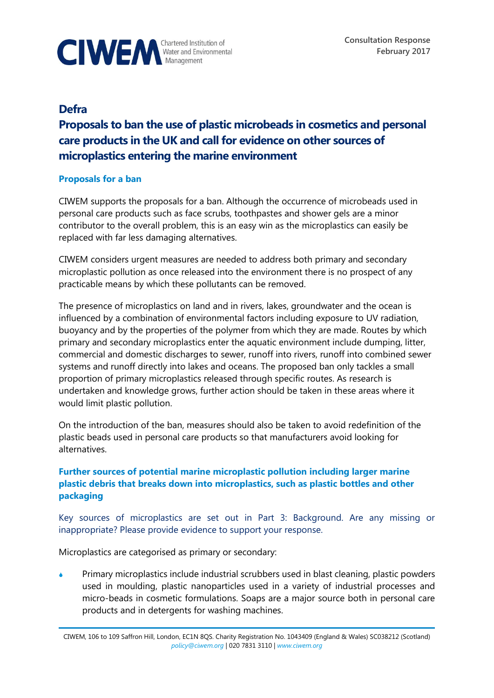

**Consultation Response February 2017**

## **Defra**

# **Proposals to ban the use of plastic microbeads in cosmetics and personal care products in the UK and call for evidence on other sources of microplastics entering the marine environment**

#### **Proposals for a ban**

CIWEM supports the proposals for a ban. Although the occurrence of microbeads used in personal care products such as face scrubs, toothpastes and shower gels are a minor contributor to the overall problem, this is an easy win as the microplastics can easily be replaced with far less damaging alternatives.

CIWEM considers urgent measures are needed to address both primary and secondary microplastic pollution as once released into the environment there is no prospect of any practicable means by which these pollutants can be removed.

The presence of microplastics on land and in rivers, lakes, groundwater and the ocean is influenced by a combination of environmental factors including exposure to UV radiation, buoyancy and by the properties of the polymer from which they are made. Routes by which primary and secondary microplastics enter the aquatic environment include dumping, litter, commercial and domestic discharges to sewer, runoff into rivers, runoff into combined sewer systems and runoff directly into lakes and oceans. The proposed ban only tackles a small proportion of primary microplastics released through specific routes. As research is undertaken and knowledge grows, further action should be taken in these areas where it would limit plastic pollution.

On the introduction of the ban, measures should also be taken to avoid redefinition of the plastic beads used in personal care products so that manufacturers avoid looking for alternatives.

### **Further sources of potential marine microplastic pollution including larger marine plastic debris that breaks down into microplastics, such as plastic bottles and other packaging**

Key sources of microplastics are set out in Part 3: Background. Are any missing or inappropriate? Please provide evidence to support your response.

Microplastics are categorised as primary or secondary:

 Primary microplastics include industrial scrubbers used in blast cleaning, plastic powders used in moulding, plastic nanoparticles used in a variety of industrial processes and micro-beads in cosmetic formulations. Soaps are a major source both in personal care products and in detergents for washing machines.

CIWEM, 106 to 109 Saffron Hill, London, EC1N 8QS. Charity Registration No. 1043409 (England & Wales) SC038212 (Scotland) *[policy@ciwem.org](mailto:policy@ciwem.org)* | 020 7831 3110 | *[www.ciwem.org](http://www.ciwem.org/)*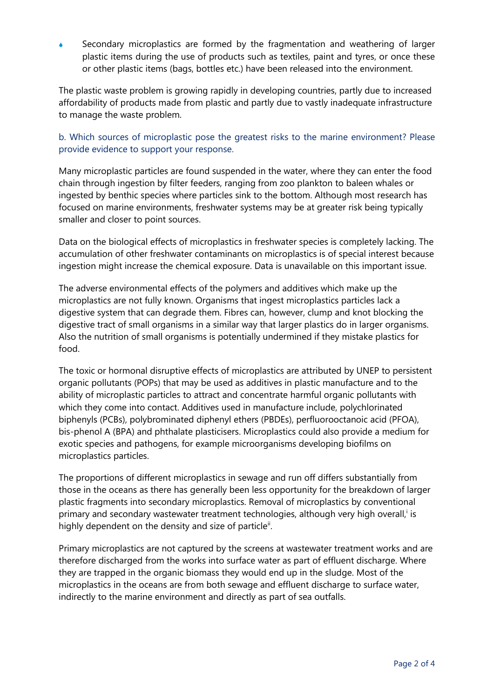Secondary microplastics are formed by the fragmentation and weathering of larger plastic items during the use of products such as textiles, paint and tyres, or once these or other plastic items (bags, bottles etc.) have been released into the environment.

The plastic waste problem is growing rapidly in developing countries, partly due to increased affordability of products made from plastic and partly due to vastly inadequate infrastructure to manage the waste problem.

### b. Which sources of microplastic pose the greatest risks to the marine environment? Please provide evidence to support your response.

Many microplastic particles are found suspended in the water, where they can enter the food chain through ingestion by filter feeders, ranging from zoo plankton to baleen whales or ingested by benthic species where particles sink to the bottom. Although most research has focused on marine environments, freshwater systems may be at greater risk being typically smaller and closer to point sources.

Data on the biological effects of microplastics in freshwater species is completely lacking. The accumulation of other freshwater contaminants on microplastics is of special interest because ingestion might increase the chemical exposure. Data is unavailable on this important issue.

The adverse environmental effects of the polymers and additives which make up the microplastics are not fully known. Organisms that ingest microplastics particles lack a digestive system that can degrade them. Fibres can, however, clump and knot blocking the digestive tract of small organisms in a similar way that larger plastics do in larger organisms. Also the nutrition of small organisms is potentially undermined if they mistake plastics for food.

The toxic or hormonal disruptive effects of microplastics are attributed by UNEP to persistent organic pollutants (POPs) that may be used as additives in plastic manufacture and to the ability of microplastic particles to attract and concentrate harmful organic pollutants with which they come into contact. Additives used in manufacture include, polychlorinated biphenyls (PCBs), polybrominated diphenyl ethers (PBDEs), perfluorooctanoic acid (PFOA), bis-phenol A (BPA) and phthalate plasticisers. Microplastics could also provide a medium for exotic species and pathogens, for example microorganisms developing biofilms on microplastics particles.

The proportions of different microplastics in sewage and run off differs substantially from those in the oceans as there has generally been less opportunity for the breakdown of larger plastic fragments into secondary microplastics. Removal of microplastics by conventional primary and secondary wastewater treatment technologies, although very high overall, is highly dependent on the density and size of particle<sup>ii</sup>.

Primary microplastics are not captured by the screens at wastewater treatment works and are therefore discharged from the works into surface water as part of effluent discharge. Where they are trapped in the organic biomass they would end up in the sludge. Most of the microplastics in the oceans are from both sewage and effluent discharge to surface water, indirectly to the marine environment and directly as part of sea outfalls.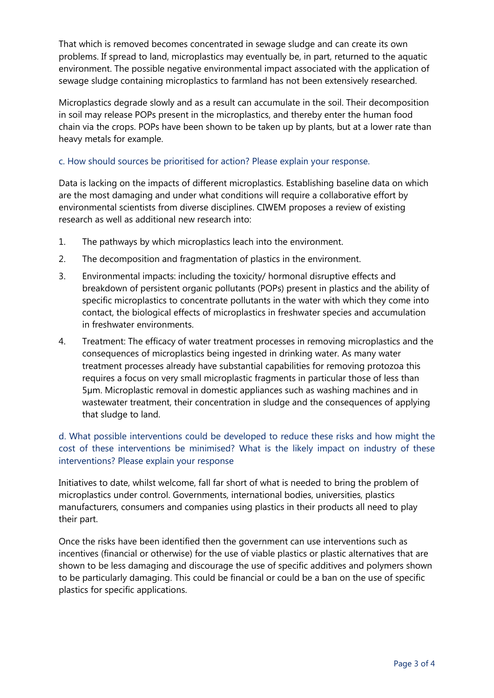That which is removed becomes concentrated in sewage sludge and can create its own problems. If spread to land, microplastics may eventually be, in part, returned to the aquatic environment. The possible negative environmental impact associated with the application of sewage sludge containing microplastics to farmland has not been extensively researched.

Microplastics degrade slowly and as a result can accumulate in the soil. Their decomposition in soil may release POPs present in the microplastics, and thereby enter the human food chain via the crops. POPs have been shown to be taken up by plants, but at a lower rate than heavy metals for example.

#### c. How should sources be prioritised for action? Please explain your response.

Data is lacking on the impacts of different microplastics. Establishing baseline data on which are the most damaging and under what conditions will require a collaborative effort by environmental scientists from diverse disciplines. CIWEM proposes a review of existing research as well as additional new research into:

- 1. The pathways by which microplastics leach into the environment.
- 2. The decomposition and fragmentation of plastics in the environment.
- 3. Environmental impacts: including the toxicity/ hormonal disruptive effects and breakdown of persistent organic pollutants (POPs) present in plastics and the ability of specific microplastics to concentrate pollutants in the water with which they come into contact, the biological effects of microplastics in freshwater species and accumulation in freshwater environments.
- 4. Treatment: The efficacy of water treatment processes in removing microplastics and the consequences of microplastics being ingested in drinking water. As many water treatment processes already have substantial capabilities for removing protozoa this requires a focus on very small microplastic fragments in particular those of less than 5µm. Microplastic removal in domestic appliances such as washing machines and in wastewater treatment, their concentration in sludge and the consequences of applying that sludge to land.

#### d. What possible interventions could be developed to reduce these risks and how might the cost of these interventions be minimised? What is the likely impact on industry of these interventions? Please explain your response

Initiatives to date, whilst welcome, fall far short of what is needed to bring the problem of microplastics under control. Governments, international bodies, universities, plastics manufacturers, consumers and companies using plastics in their products all need to play their part.

Once the risks have been identified then the government can use interventions such as incentives (financial or otherwise) for the use of viable plastics or plastic alternatives that are shown to be less damaging and discourage the use of specific additives and polymers shown to be particularly damaging. This could be financial or could be a ban on the use of specific plastics for specific applications.